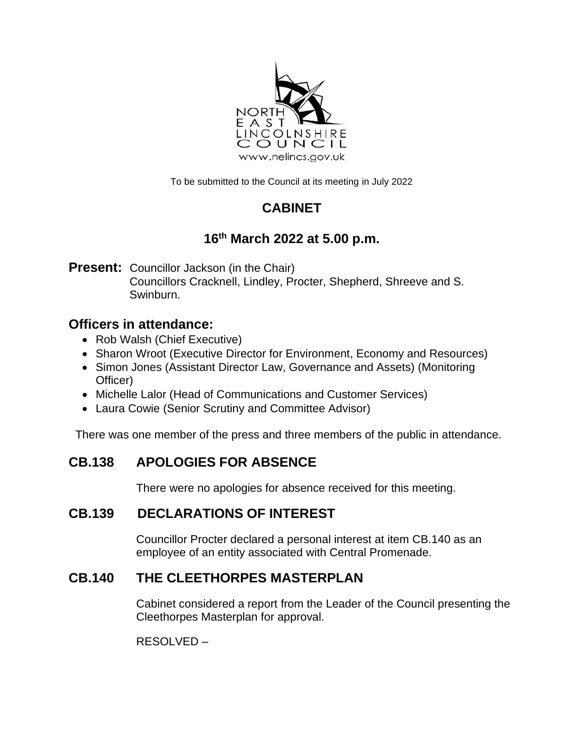

To be submitted to the Council at its meeting in July 2022

# **CABINET**

## **16th March 2022 at 5.00 p.m.**

**Present:** Councillor Jackson (in the Chair)

Councillors Cracknell, Lindley, Procter, Shepherd, Shreeve and S. Swinburn.

### **Officers in attendance:**

- Rob Walsh (Chief Executive)
- Sharon Wroot (Executive Director for Environment, Economy and Resources)
- Simon Jones (Assistant Director Law, Governance and Assets) (Monitoring Officer)
- Michelle Lalor (Head of Communications and Customer Services)
- Laura Cowie (Senior Scrutiny and Committee Advisor)

There was one member of the press and three members of the public in attendance.

### **CB.138 APOLOGIES FOR ABSENCE**

There were no apologies for absence received for this meeting.

### **CB.139 DECLARATIONS OF INTEREST**

Councillor Procter declared a personal interest at item CB.140 as an employee of an entity associated with Central Promenade.

### **CB.140 THE CLEETHORPES MASTERPLAN**

Cabinet considered a report from the Leader of the Council presenting the Cleethorpes Masterplan for approval.

RESOLVED –